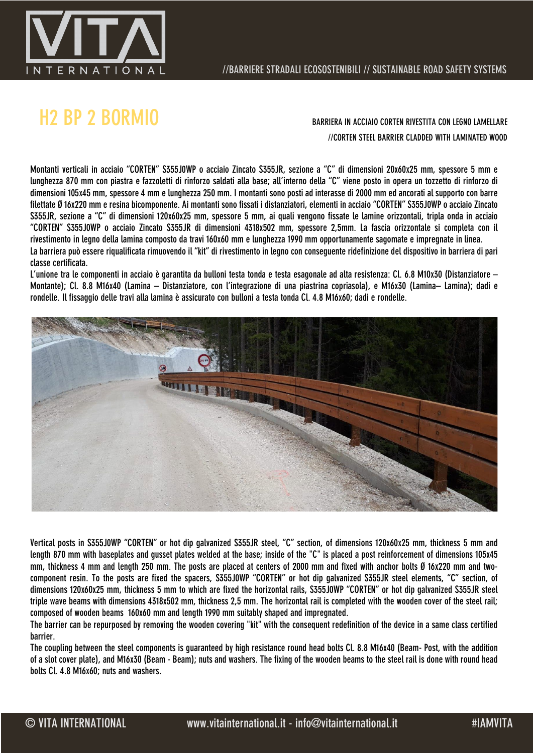

# H2 BP 2 BORMIO BARRIERA IN ACCIAIO CORTEN RIVESTITA CON LEGNO LAMELLARE

//CORTEN STEEL BARRIER CLADDED WITH LAMINATED WOOD

Montanti verticali in acciaio "CORTEN" S355J0WP o acciaio Zincato S355JR, sezione a "C" di dimensioni 20x60x25 mm, spessore 5 mm e lunghezza 870 mm con piastra e fazzoletti di rinforzo saldati alla base; all'interno della "C" viene posto in opera un tozzetto di rinforzo di dimensioni 105x45 mm, spessore 4 mm e lunghezza 250 mm. I montanti sono posti ad interasse di 2000 mm ed ancorati al supporto con barre filettate Ø 16x220 mm e resina bicomponente. Ai montanti sono fissati i distanziatori, elementi in acciaio "CORTEN" S355J0WP o acciaio Zincato S355JR, sezione a "C" di dimensioni 120x60x25 mm, spessore 5 mm, ai quali vengono fissate le lamine orizzontali, tripla onda in acciaio "CORTEN" S355J0WP o acciaio Zincato S355JR di dimensioni 4318x502 mm, spessore 2,5mm. La fascia orizzontale si completa con il rivestimento in legno della lamina composto da travi 160x60 mm e lunghezza 1990 mm opportunamente sagomate e impregnate in linea. La barriera può essere riqualificata rimuovendo il "kit" di rivestimento in legno con conseguente ridefinizione del dispositivo in barriera di pari classe certificata.

L'unione tra le componenti in acciaio è garantita da bulloni testa tonda e testa esagonale ad alta resistenza: Cl. 6.8 M10x30 (Distanziatore – Montante); Cl. 8.8 M16x40 (Lamina – Distanziatore, con l'integrazione di una piastrina copriasola), e M16x30 (Lamina– Lamina); dadi e rondelle. Il fissaggio delle travi alla lamina è assicurato con bulloni a testa tonda Cl. 4.8 M16x60; dadi e rondelle.



Vertical posts in S355J0WP "CORTEN" or hot dip galvanized S355JR steel, "C" section, of dimensions 120x60x25 mm, thickness 5 mm and length 870 mm with baseplates and gusset plates welded at the base; inside of the "C" is placed a post reinforcement of dimensions 105x45 mm, thickness 4 mm and length 250 mm. The posts are placed at centers of 2000 mm and fixed with anchor bolts Ø 16x220 mm and twocomponent resin. To the posts are fixed the spacers, S355J0WP "CORTEN" or hot dip galvanized S355JR steel elements, "C" section, of dimensions 120x60x25 mm, thickness 5 mm to which are fixed the horizontal rails, S355J0WP "CORTEN" or hot dip galvanized S355JR steel triple wave beams with dimensions 4318x502 mm, thickness 2,5 mm. The horizontal rail is completed with the wooden cover of the steel rail; composed of wooden beams 160x60 mm and length 1990 mm suitably shaped and impregnated.

The barrier can be repurposed by removing the wooden covering "kit" with the consequent redefinition of the device in a same class certified barrier.

The coupling between the steel components is guaranteed by high resistance round head bolts Cl. 8.8 M16x40 (Beam- Post, with the addition of a slot cover plate), and M16x30 (Beam - Beam); nuts and washers. The fixing of the wooden beams to the steel rail is done with round head bolts Cl. 4.8 M16x60; nuts and washers.